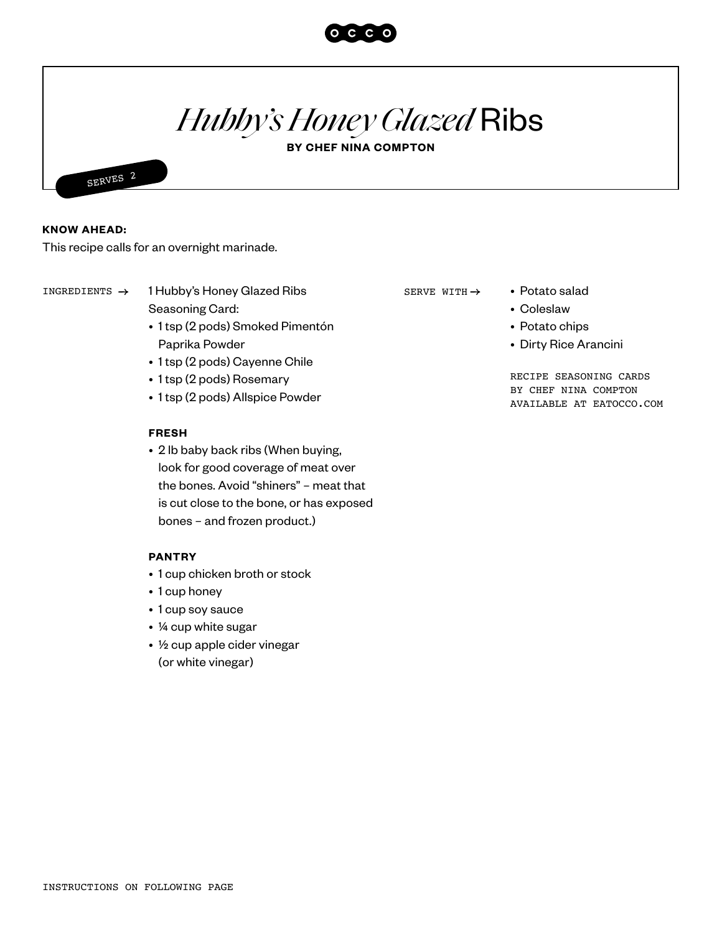

# *Hubby'sHoney Glazed* Ribs

**BY CHEF NINA COMPTON**



### **KNOW AHEAD:**

This recipe calls for an overnight marinade.

INGREDIENTS  $\rightarrow$  1 Hubby's Honey Glazed Ribs SERVE WITH  $\rightarrow$  • Potato salad

Seasoning Card:

- 1 tsp (2 pods) Smoked Pimentón Paprika Powder
- 1 tsp (2 pods) Cayenne Chile
- 1 tsp (2 pods) Rosemary
- 1 tsp (2 pods) Allspice Powder

#### **FRESH**

• 2 lb baby back ribs (When buying, look for good coverage of meat over the bones. Avoid "shiners" – meat that is cut close to the bone, or has exposed bones – and frozen product.)

#### **PANTRY**

- 1 cup chicken broth or stock
- 1 cup honey
- 1 cup soy sauce
- ¼ cup white sugar
- ½ cup apple cider vinegar (or white vinegar)

SERVE WITH  $\rightarrow$ 

- Coleslaw
	- Potato chips
	- Dirty Rice Arancini

RECIPE SEASONING CARDS BY CHEF NINA COMPTON AVAILABLE AT EATOCCO.COM